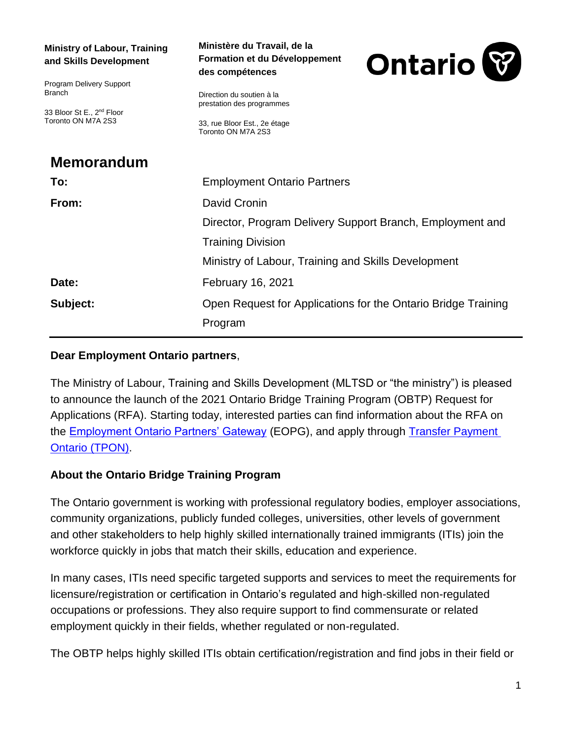| <b>Ministry of Labour, Training</b><br>and Skills Development                                            | Ministère du Travail, de la<br>Formation et du Développement<br>des compétences                              | <b>Ontario</b> |
|----------------------------------------------------------------------------------------------------------|--------------------------------------------------------------------------------------------------------------|----------------|
| Program Delivery Support<br><b>Branch</b><br>33 Bloor St E., 2 <sup>nd</sup> Floor<br>Toronto ON M7A 2S3 | Direction du soutien à la<br>prestation des programmes<br>33, rue Bloor Est., 2e étage<br>Toronto ON M7A 2S3 |                |
| <b>Memorandum</b>                                                                                        |                                                                                                              |                |
| To:                                                                                                      | <b>Employment Ontario Partners</b>                                                                           |                |
| From:                                                                                                    | David Cronin                                                                                                 |                |
|                                                                                                          | Director, Program Delivery Support Branch, Employment and                                                    |                |
|                                                                                                          | <b>Training Division</b>                                                                                     |                |
|                                                                                                          | Ministry of Labour, Training and Skills Development                                                          |                |
| Date:                                                                                                    | <b>February 16, 2021</b>                                                                                     |                |
| Subject:                                                                                                 | Open Request for Applications for the Ontario Bridge Training                                                |                |
|                                                                                                          | Program                                                                                                      |                |

## **Dear Employment Ontario partners**,

The Ministry of Labour, Training and Skills Development (MLTSD or "the ministry") is pleased to announce the launch of the 2021 Ontario Bridge Training Program (OBTP) Request for Applications (RFA). Starting today, interested parties can find information about the RFA on the [Employment Ontario Partners' Gateway](http://www.tcu.gov.on.ca/eng/eopg/programs/obtp.html) (EOPG), and apply through [Transfer Payment](https://www.app.grants.gov.on.ca/gr/tpcr/#/externalLogin)  [Ontario \(TPON\).](https://www.app.grants.gov.on.ca/gr/tpcr/#/externalLogin)

## **About the Ontario Bridge Training Program**

The Ontario government is working with professional regulatory bodies, employer associations, community organizations, publicly funded colleges, universities, other levels of government and other stakeholders to help highly skilled internationally trained immigrants (ITIs) join the workforce quickly in jobs that match their skills, education and experience.

In many cases, ITIs need specific targeted supports and services to meet the requirements for licensure/registration or certification in Ontario's regulated and high-skilled non-regulated occupations or professions. They also require support to find commensurate or related employment quickly in their fields, whether regulated or non-regulated.

The OBTP helps highly skilled ITIs obtain certification/registration and find jobs in their field or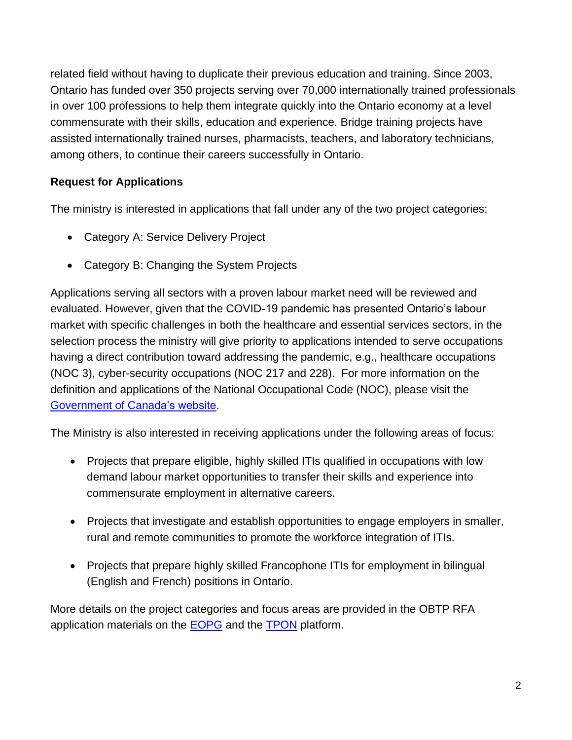related field without having to duplicate their previous education and training. Since 2003, Ontario has funded over 350 projects serving over 70,000 internationally trained professionals in over 100 professions to help them integrate quickly into the Ontario economy at a level commensurate with their skills, education and experience. Bridge training projects have assisted internationally trained nurses, pharmacists, teachers, and laboratory technicians, among others, to continue their careers successfully in Ontario.

## **Request for Applications**

The ministry is interested in applications that fall under any of the two project categories:

- Category A: Service Delivery Project
- Category B: Changing the System Projects

Applications serving all sectors with a proven labour market need will be reviewed and evaluated. However, given that the COVID-19 pandemic has presented Ontario's labour market with specific challenges in both the healthcare and essential services sectors, in the selection process the ministry will give priority to applications intended to serve occupations having a direct contribution toward addressing the pandemic, e.g., healthcare occupations (NOC 3), cyber-security occupations (NOC 217 and 228). For more information on the definition and applications of the National Occupational Code (NOC), please visit the [Government of Canada's website.](https://noc.esdc.gc.ca/Home/Welcome/3dbc91ed423c4156b05555fa8b189023)

The Ministry is also interested in receiving applications under the following areas of focus:

- Projects that prepare eligible, highly skilled ITIs qualified in occupations with low demand labour market opportunities to transfer their skills and experience into commensurate employment in alternative careers.
- Projects that investigate and establish opportunities to engage employers in smaller, rural and remote communities to promote the workforce integration of ITIs.
- Projects that prepare highly skilled Francophone ITIs for employment in bilingual (English and French) positions in Ontario.

More details on the project categories and focus areas are provided in the OBTP RFA application materials on the **EOPG** and the **TPON** platform.